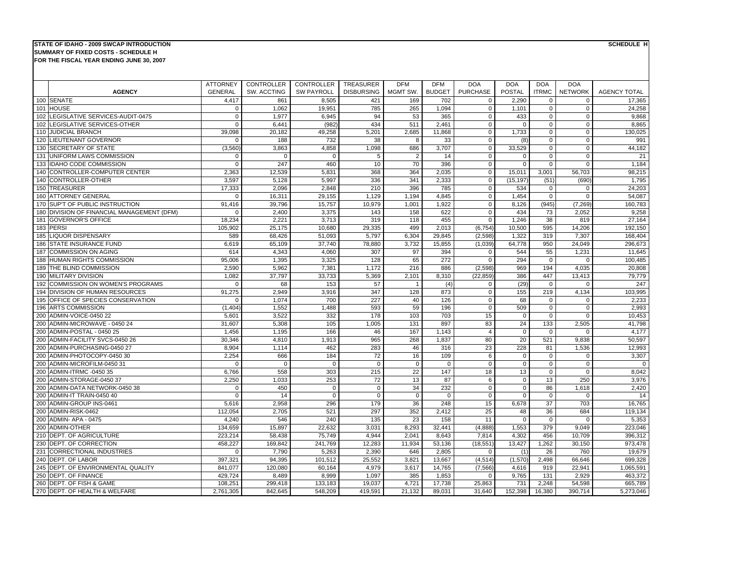## **SUMMARY OF FIXED COSTS - SCHEDULE HSTATE OF IDAHO - 2009 SWCAP INTRODUCTION**

**FOR THE FISCAL YEAR ENDING JUNE 30, 2007**

**SCHEDULE H**

|     |                                        | <b>ATTORNEY</b> | <b>CONTROLLER</b> | CONTROLLER        | TREASURER         | <b>DFM</b>     | <b>DFM</b>    | <b>DOA</b>      | <b>DOA</b>  | <b>DOA</b>   | <b>DOA</b>     |                     |
|-----|----------------------------------------|-----------------|-------------------|-------------------|-------------------|----------------|---------------|-----------------|-------------|--------------|----------------|---------------------|
|     | <b>AGENCY</b>                          | <b>GENERAL</b>  | SW. ACCTING       | <b>SW PAYROLL</b> | <b>DISBURSING</b> | MGMT SW.       | <b>BUDGET</b> | <b>PURCHASE</b> | POSTAL      | <b>ITRMC</b> | <b>NETWORK</b> | <b>AGENCY TOTAL</b> |
|     | 100 SENATE                             | 4,417           | 861               | 8,505             | 421               | 169            | 702           | $\mathbf 0$     | 2,290       | $\mathbf 0$  | $\mathbf 0$    | 17,365              |
| 101 | <b>HOUSE</b>                           | $\Omega$        | 1,062             | 19.951            | 785               | 265            | 1.094         | $\mathbf 0$     | 1.101       | $\mathbf 0$  | $\Omega$       | 24.258              |
|     | 102 LEGISLATIVE SERVICES-AUDIT-0475    | $\mathbf 0$     | 1,977             | 6,945             | 94                | 53             | 365           | $\mathbf 0$     | 433         | $\mathbf 0$  | $\mathbf 0$    | 9,868               |
| 102 | LEGISLATIVE SERVICES-OTHER             | $\Omega$        | 6.441             | (982)             | 434               | 511            | 2,461         | $\mathbf 0$     | $\mathbf 0$ | $\Omega$     | $\Omega$       | 8,865               |
| 110 | <b>JUDICIAL BRANCH</b>                 | 39,098          | 20,182            | 49,258            | 5,201             | 2,685          | 11,868        | $\mathbf 0$     | 1,733       | $\mathbf 0$  | $\mathbf 0$    | 130,025             |
|     | 120 LIEUTENANT GOVERNOR                | $\Omega$        | 188               | 732               | 38                | 8              | 33            | $\mathbf 0$     | (8)         | $\mathbf 0$  | $\Omega$       | 991                 |
| 130 | <b>SECRETARY OF STATE</b>              | (3,560)         | 3,863             | 4,858             | 1,098             | 686            | 3,707         | $\mathbf 0$     | 33,529      | $\mathbf 0$  | $\mathbf 0$    | 44,182              |
| 131 | UNIFORM LAWS COMMISSION                | $\Omega$        | $\Omega$          | $\Omega$          | 5                 | $\overline{2}$ | 14            | $\Omega$        | $\Omega$    | $\Omega$     | $\Omega$       | 21                  |
| 133 | <b>IDAHO CODE COMMISSION</b>           | $\Omega$        | 247               | 460               | 10                | 70             | 396           | $\mathbf 0$     | $\Omega$    | $\mathbf 0$  | $\mathbf 0$    | 1,184               |
|     | 140 CONTROLLER-COMPUTER CENTER         | 2.363           | 12,539            | 5,831             | 368               | 364            | 2,035         | $\mathbf 0$     | 15,011      | 3,001        | 56,703         | 98,215              |
|     | 140 CONTROLLER-OTHER                   | 3,597           | 5,128             | 5,997             | 336               | 341            | 2,333         | $\mathsf 0$     | (15, 197)   | (51)         | (690)          | 1,795               |
|     | 150 TREASURER                          | 17,333          | 2.096             | 2.848             | 210               | 396            | 785           | $\Omega$        | 534         | $\Omega$     | $\Omega$       | 24,203              |
|     | 160 ATTORNEY GENERAL                   | $\Omega$        | 16,311            | 29,155            | 1,129             | 1,194          | 4,845         | $\mathsf 0$     | 1,454       | $\mathbf 0$  | $\mathbf 0$    | 54,087              |
|     | 170 SUP'T OF PUBLIC INSTRUCTION        | 91,416          | 39,796            | 15,757            | 10,979            | 1,001          | 1,922         | $\mathbf 0$     | 8,126       | (945)        | (7, 269)       | 160,783             |
| 180 | DIVISION OF FINANCIAL MANAGEMENT (DFM) | $\Omega$        | 2,400             | 3,375             | 143               | 158            | 622           | $\mathbf 0$     | 434         | 73           | 2,052          | 9,258               |
| 181 | <b>GOVERNOR'S OFFICE</b>               | 18,234          | 2,221             | 3,713             | 319               | 118            | 455           | $\mathbf 0$     | 1,246       | 38           | 819            | 27,164              |
|     | 183 PERSI                              | 105,902         | 25,175            | 10,680            | 29,335            | 499            | 2,013         | (6, 754)        | 10,500      | 595          | 14,206         | 192,150             |
|     | 185 LIQUOR DISPENSARY                  | 589             | 68,426            | 51,093            | 5,797             | 6,304          | 29,845        | (2,598)         | 1,322       | 319          | 7,307          | 168,404             |
| 186 | <b>STATE INSURANCE FUND</b>            | 6,619           | 65,109            | 37,740            | 78,880            | 3,732          | 15,855        | (1,039)         | 64,778      | 950          | 24,049         | 296,673             |
| 187 | <b>COMMISSION ON AGING</b>             | 614             | 4,343             | 4,060             | 307               | 97             | 394           | $\mathbf 0$     | 544         | 55           | 1,231          | 11,645              |
| 188 | <b>HUMAN RIGHTS COMMISSION</b>         | 95.006          | 1.395             | 3.325             | 128               | 65             | 272           | $\mathbf 0$     | 294         | $\mathbf 0$  | $\Omega$       | 100,485             |
| 189 | THE BLIND COMMISSION                   | 2,590           | 5,962             | 7,381             | 1,172             | 216            | 886           | (2,598)         | 969         | 194          | 4,035          | 20,808              |
| 190 | <b>MILITARY DIVISION</b>               | 1.082           | 37,797            | 33.733            | 5,369             | 2,101          | 8,310         | (22, 859)       | 386         | 447          | 13.413         | 79,779              |
|     | 192 COMMISSION ON WOMEN'S PROGRAMS     | $\Omega$        | 68                | 153               | 57                | $\overline{1}$ | (4)           | $\mathbf 0$     | (29)        | $\mathbf 0$  | $\mathbf 0$    | 247                 |
|     | 194 DIVISION OF HUMAN RESOURCES        | 91,275          | 2,949             | 3,916             | 347               | 128            | 873           | $\mathbf 0$     | 155         | 219          | 4,134          | 103,995             |
|     | 195 OFFICE OF SPECIES CONSERVATION     | $\mathbf 0$     | 1,074             | 700               | 227               | 40             | 126           | $\mathsf 0$     | 68          | $\mathbf 0$  | $\mathbf 0$    | 2,233               |
| 196 | <b>ARTS COMMISSION</b>                 | (1, 404)        | 1,552             | 1,488             | 593               | 59             | 196           | $\mathbf 0$     | 509         | $\Omega$     | $\Omega$       | 2,993               |
| 200 | ADMIN-VOICE-0450 22                    | 5,601           | 3,522             | 332               | 178               | 103            | 703           | 15              | $\mathbf 0$ | $\Omega$     | $\Omega$       | 10,453              |
| 200 | ADMIN-MICROWAVE - 0450 24              | 31.607          | 5.308             | 105               | 1,005             | 131            | 897           | 83              | 24          | 133          | 2,505          | 41,798              |
| 200 | ADMIN-POSTAL - 0450 25                 | 1,456           | 1,195             | 166               | 46                | 167            | 1,143         | $\overline{4}$  | $\mathbf 0$ | $\mathbf 0$  | $\Omega$       | 4,177               |
| 200 | ADMIN-FACILITY SVCS-0450 26            | 30,346          | 4,810             | 1,913             | 965               | 268            | 1,837         | 80              | 20          | 521          | 9,838          | 50,597              |
| 200 | ADMIN-PURCHASING-0450 27               | 8,904           | 1,114             | 462               | 283               | 46             | 316           | 23              | 228         | 81           | 1,536          | 12,993              |
| 200 | ADMIN-PHOTOCOPY-0450 30                | 2.254           | 666               | 184               | 72                | 16             | 109           | 6               | $\mathbf 0$ | $\mathbf 0$  | $\mathbf 0$    | 3,307               |
| 200 | ADMIN-MICROFILM-0450 31                | $\Omega$        | $\Omega$          | $\mathbf 0$       | $\Omega$          | $\mathbf 0$    | $\mathbf 0$   | $\mathsf 0$     | $\mathbf 0$ | $\mathbf 0$  | $\Omega$       | $\bf 0$             |
| 200 | ADMIN-ITRMC -0450 35                   | 6,766           | 558               | 303               | 215               | 22             | 147           | 18              | 13          | $\Omega$     | $\Omega$       | 8.042               |
| 200 | ADMIN-STORAGE-0450 37                  | 2,250           | 1,033             | 253               | 72                | 13             | 87            | 6               | $\Omega$    | 13           | 250            | 3,976               |
| 200 | ADMIN-DATA NETWORK-0450 38             | $\Omega$        | 450               | $\mathbf 0$       | $\Omega$          | 34             | 232           | $\mathbf 0$     | $\Omega$    | 86           | 1,618          | 2,420               |
| 200 | ADMIN-IT TRAIN-0450 40                 | $\Omega$        | 14                | $\mathbf 0$       | $\Omega$          | $\mathbf{0}$   | $\mathbf 0$   | $\mathbf 0$     | $\mathbf 0$ | $\mathbf 0$  | $\mathbf 0$    | 14                  |
| 200 | ADMIN-GROUP INS-0461                   | 5,616           | 2,958             | 296               | 179               | 36             | 248           | 15              | 6,678       | 37           | 703            | 16,765              |
|     | 200 ADMIN-RISK-0462                    | 112,054         | 2,705             | 521               | 297               | 352            | 2,412         | 25              | 48          | 36           | 684            | 119,134             |
|     | 200 ADMIN- APA - 0475                  | 4,240           | 546               | 240               | 135               | 23             | 158           | 11              | $\mathbf 0$ | $\Omega$     | $\Omega$       | 5,353               |
| 200 | <b>ADMIN-OTHER</b>                     | 134,659         | 15,897            | 22,632            | 3,031             | 8,293          | 32,441        | (4,888)         | 1,553       | 379          | 9,049          | 223,046             |
|     | 210 DEPT. OF AGRICULTURE               | 223,214         | 58.438            | 75,749            | 4,944             | 2.041          | 8,643         | 7.814           | 4,302       | 456          | 10,709         | 396,312             |
| 230 | DEPT. OF CORRECTION                    | 458,227         | 169,842           | 241,769           | 12,283            | 11,934         | 53,136        | (18, 551)       | 13,427      | 1,262        | 30,150         | 973,478             |
| 231 | <b>CORRECTIONAL INDUSTRIES</b>         | $\Omega$        | 7,790             | 5,263             | 2,390             | 646            | 2,805         | $\mathbf 0$     | (1)         | 26           | 760            | 19,679              |
|     | 240 DEPT, OF LABOR                     | 397,321         | 94,395            | 101,512           | 25,552            | 3,821          | 13,667        | (4, 514)        | (1,570)     | 2,498        | 66,646         | 699,328             |
|     | 245 DEPT. OF ENVIRONMENTAL QUALITY     | 841,077         | 120,080           | 60,164            | 4,979             | 3,617          | 14,765        | (7, 566)        | 4,616       | 919          | 22,941         | 1,065,591           |
|     | 250 DEPT. OF FINANCE                   | 429,724         | 8,489             | 8,999             | 1,097             | 385            | 1,853         | $\mathbf 0$     | 9,765       | 131          | 2,929          | 463,372             |
|     | 260 DEPT. OF FISH & GAME               | 108.251         | 299,418           | 133,183           | 19,037            | 4,721          | 17,738        | 25,863          | 731         | 2,248        | 54,598         | 665,789             |
|     | 270 DEPT. OF HEALTH & WELFARE          | 2,761,305       | 842,645           | 548,209           | 419,591           | 21,132         | 89,031        | 31,640          | 152,398     | 16,380       | 390,714        | 5,273,046           |
|     |                                        |                 |                   |                   |                   |                |               |                 |             |              |                |                     |